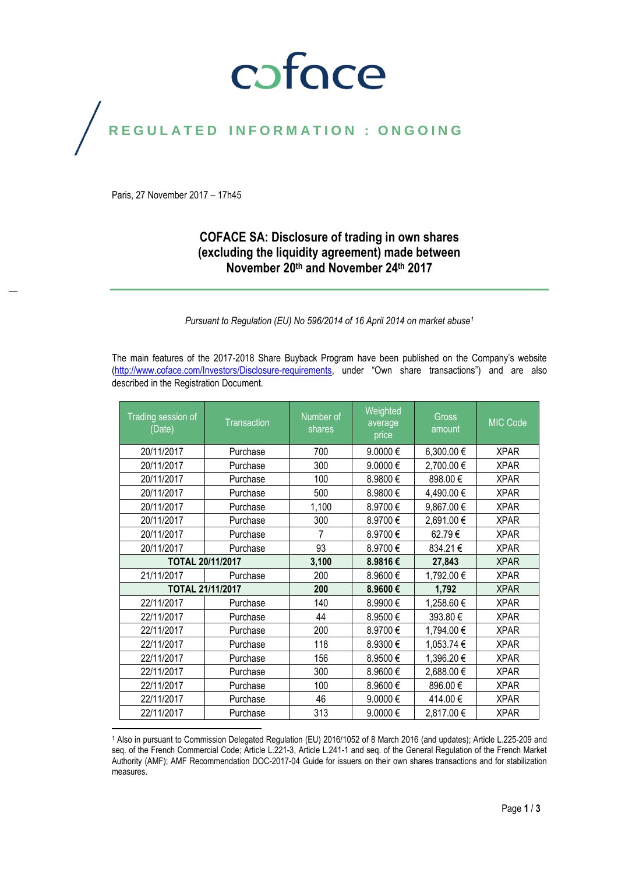# coface

# REGULATED INFORMATION : ONGOING

Paris, 27 November 2017 – 17h45

## **COFACE SA: Disclosure of trading in own shares (excluding the liquidity agreement) made between November 20th and November 24th 2017**

*Pursuant to Regulation (EU) No 596/2014 of 16 April 2014 on market abuse<sup>1</sup>*

The main features of the 2017-2018 Share Buyback Program have been published on the Company's website [\(http://www.coface.com/Investors/Disclosure-requirements](http://www.coface.com/Investors/Disclosure-requirements), under "Own share transactions") and are also described in the Registration Document.

| Trading session of<br>(Date) | Transaction      | Number of<br>shares | Weighted<br>average<br>price | <b>Gross</b><br>amount | MIC Code    |
|------------------------------|------------------|---------------------|------------------------------|------------------------|-------------|
| 20/11/2017                   | Purchase         | 700                 | 9.0000€                      | 6,300.00 €             | <b>XPAR</b> |
| 20/11/2017                   | Purchase         | 300                 | 9.0000€                      | 2,700.00 €             | <b>XPAR</b> |
| 20/11/2017                   | Purchase         | 100                 | 8.9800€                      | 898.00€                | <b>XPAR</b> |
| 20/11/2017                   | Purchase         | 500                 | 8.9800€                      | 4,490.00 €             | <b>XPAR</b> |
| 20/11/2017                   | Purchase         | 1,100               | 8.9700€                      | 9,867.00€              | <b>XPAR</b> |
| 20/11/2017                   | Purchase         | 300                 | 8.9700€                      | 2,691.00€              | <b>XPAR</b> |
| 20/11/2017                   | Purchase         | 7                   | 8.9700€                      | 62.79€                 | <b>XPAR</b> |
| 20/11/2017                   | Purchase         | 93                  | 8.9700€                      | 834.21€                | <b>XPAR</b> |
| TOTAL 20/11/2017             |                  | 3,100               | 8.9816€                      | 27,843                 | <b>XPAR</b> |
| 21/11/2017                   | Purchase         | 200                 | 8.9600€                      | 1,792.00 €             | <b>XPAR</b> |
|                              | TOTAL 21/11/2017 |                     | 8.9600€                      | 1,792                  | <b>XPAR</b> |
| 22/11/2017                   | Purchase         | 140                 | 8.9900€                      | 1,258.60 €             | <b>XPAR</b> |
| 22/11/2017                   | Purchase         | 44                  | 8.9500€                      | 393.80€                | <b>XPAR</b> |
| 22/11/2017                   | Purchase         | 200                 | 8.9700€                      | 1,794.00 €             | <b>XPAR</b> |
| 22/11/2017                   | Purchase         | 118                 | 8.9300€                      | 1,053.74 €             | <b>XPAR</b> |
| 22/11/2017                   | Purchase         | 156                 | 8.9500€                      | 1,396.20 €             | <b>XPAR</b> |
| 22/11/2017                   | Purchase         | 300                 | 8.9600€                      | 2,688.00 €             | <b>XPAR</b> |
| 22/11/2017                   | Purchase         | 100                 | 8.9600€                      | 896.00€                | <b>XPAR</b> |
| 22/11/2017                   | Purchase         | 46                  | 9.0000€                      | 414.00€                | <b>XPAR</b> |
| 22/11/2017                   | Purchase         | 313                 | 9.0000€                      | 2,817.00 €             | <b>XPAR</b> |

 $\overline{a}$ <sup>1</sup> Also in pursuant to Commission Delegated Regulation (EU) 2016/1052 of 8 March 2016 (and updates); Article L.225-209 and seq. of the French Commercial Code; Article L.221-3, Article L.241-1 and seq. of the General Regulation of the French Market Authority (AMF); AMF Recommendation DOC-2017-04 Guide for issuers on their own shares transactions and for stabilization measures.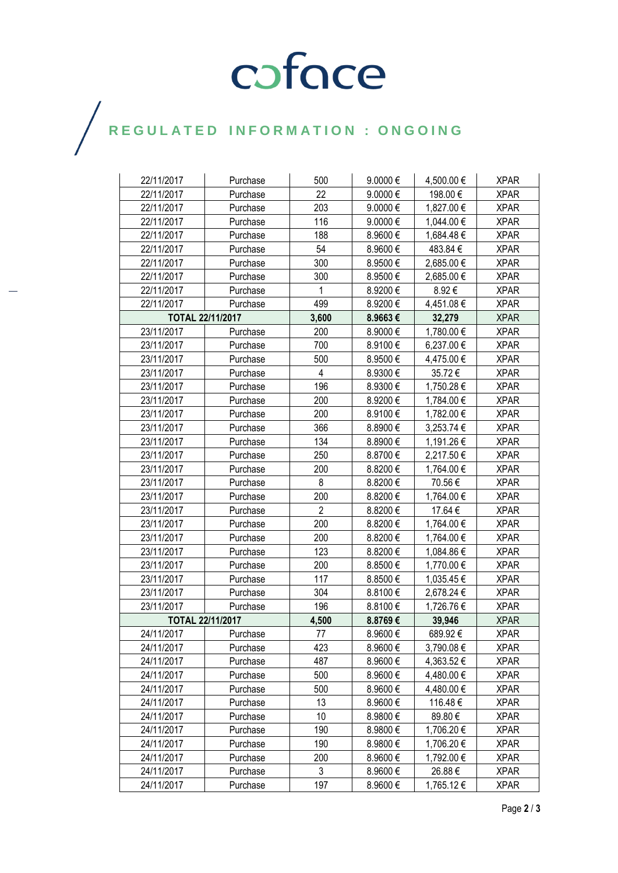# COFOCE

## $\bigg)$

| 22/11/2017              | Purchase | 500            | $9.0000 \in$ | 4,500.00 € | <b>XPAR</b> |
|-------------------------|----------|----------------|--------------|------------|-------------|
| 22/11/2017              | Purchase | 22             | 9.0000€      | 198.00 €   | <b>XPAR</b> |
| 22/11/2017              | Purchase | 203            | 9.0000€      | 1,827.00 € | <b>XPAR</b> |
| 22/11/2017              | Purchase | 116            | 9.0000€      | 1,044.00 € | <b>XPAR</b> |
| 22/11/2017              | Purchase | 188            | 8.9600€      | 1,684.48 € | <b>XPAR</b> |
| 22/11/2017              | Purchase | 54             | 8.9600€      | 483.84 €   | <b>XPAR</b> |
| 22/11/2017              | Purchase | 300            | 8.9500€      | 2,685.00 € | <b>XPAR</b> |
| 22/11/2017              | Purchase | 300            | 8.9500€      | 2,685.00 € | <b>XPAR</b> |
| 22/11/2017              | Purchase | 1              | 8.9200€      | 8.92€      | <b>XPAR</b> |
| 22/11/2017              | Purchase | 499            | 8.9200€      | 4,451.08 € | <b>XPAR</b> |
| <b>TOTAL 22/11/2017</b> |          | 3,600          | 8.9663€      | 32,279     | <b>XPAR</b> |
| 23/11/2017              | Purchase | 200            | 8.9000€      | 1,780.00 € | <b>XPAR</b> |
| 23/11/2017              | Purchase | 700            | 8.9100€      | 6,237.00 € | <b>XPAR</b> |
| 23/11/2017              | Purchase | 500            | 8.9500€      | 4,475.00 € | <b>XPAR</b> |
| 23/11/2017              | Purchase | 4              | 8.9300€      | 35.72€     | <b>XPAR</b> |
| 23/11/2017              | Purchase | 196            | 8.9300€      | 1,750.28 € | <b>XPAR</b> |
| 23/11/2017              | Purchase | 200            | 8.9200€      | 1,784.00 € | <b>XPAR</b> |
| 23/11/2017              | Purchase | 200            | 8.9100€      | 1,782.00 € | <b>XPAR</b> |
| 23/11/2017              | Purchase | 366            | 8.8900€      | 3,253.74 € | <b>XPAR</b> |
| 23/11/2017              | Purchase | 134            | 8.8900€      | 1,191.26 € | <b>XPAR</b> |
| 23/11/2017              | Purchase | 250            | 8.8700€      | 2,217.50 € | <b>XPAR</b> |
| 23/11/2017              | Purchase | 200            | 8.8200€      | 1,764.00 € | <b>XPAR</b> |
| 23/11/2017              | Purchase | 8              | 8.8200€      | 70.56€     | <b>XPAR</b> |
| 23/11/2017              | Purchase | 200            | 8.8200€      | 1,764.00 € | <b>XPAR</b> |
| 23/11/2017              | Purchase | $\overline{2}$ | 8.8200€      | 17.64 €    | <b>XPAR</b> |
| 23/11/2017              | Purchase | 200            | 8.8200€      | 1,764.00 € | <b>XPAR</b> |
| 23/11/2017              | Purchase | 200            | 8.8200€      | 1,764.00 € | <b>XPAR</b> |
| 23/11/2017              | Purchase | 123            | 8.8200€      | 1,084.86 € | <b>XPAR</b> |
| 23/11/2017              | Purchase | 200            | 8.8500€      | 1,770.00 € | <b>XPAR</b> |
| 23/11/2017              | Purchase | 117            | 8.8500€      | 1,035.45 € | <b>XPAR</b> |
| 23/11/2017              | Purchase | 304            | 8.8100 €     | 2,678.24 € | <b>XPAR</b> |
| 23/11/2017              | Purchase | 196            | 8.8100€      | 1,726.76€  | <b>XPAR</b> |
| <b>TOTAL 22/11/2017</b> |          | 4,500          | 8.8769€      | 39,946     | <b>XPAR</b> |
| 24/11/2017              | Purchase | 77             | 8.9600€      | 689.92€    | XPAR        |
| 24/11/2017              | Purchase | 423            | 8.9600€      | 3,790.08€  | <b>XPAR</b> |
| 24/11/2017              | Purchase | 487            | 8.9600€      | 4,363.52 € | <b>XPAR</b> |
| 24/11/2017              | Purchase | 500            | 8.9600€      | 4,480.00 € | <b>XPAR</b> |
| 24/11/2017              | Purchase | 500            | 8.9600€      | 4,480.00 € | <b>XPAR</b> |
| 24/11/2017              | Purchase | 13             | 8.9600€      | 116.48€    | <b>XPAR</b> |
| 24/11/2017              | Purchase | 10             | 8.9800€      | 89.80€     | <b>XPAR</b> |
| 24/11/2017              | Purchase | 190            | 8.9800€      | 1,706.20 € | <b>XPAR</b> |
| 24/11/2017              | Purchase | 190            | 8.9800€      | 1,706.20 € | <b>XPAR</b> |
| 24/11/2017              | Purchase | 200            | 8.9600€      | 1,792.00 € | <b>XPAR</b> |
| 24/11/2017              | Purchase | 3              | 8.9600€      | 26.88€     | <b>XPAR</b> |
| 24/11/2017              | Purchase | 197            | 8.9600€      | 1,765.12€  | <b>XPAR</b> |